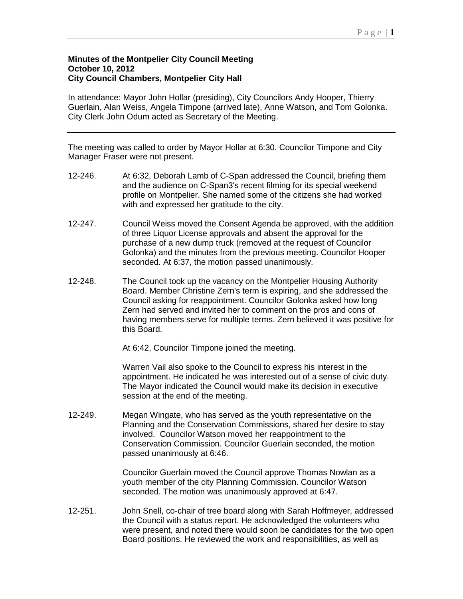## **Minutes of the Montpelier City Council Meeting October 10, 2012 City Council Chambers, Montpelier City Hall**

In attendance: Mayor John Hollar (presiding), City Councilors Andy Hooper, Thierry Guerlain, Alan Weiss, Angela Timpone (arrived late), Anne Watson, and Tom Golonka. City Clerk John Odum acted as Secretary of the Meeting.

The meeting was called to order by Mayor Hollar at 6:30. Councilor Timpone and City Manager Fraser were not present.

- 12-246. At 6:32, Deborah Lamb of C-Span addressed the Council, briefing them and the audience on C-Span3's recent filming for its special weekend profile on Montpelier. She named some of the citizens she had worked with and expressed her gratitude to the city.
- 12-247. Council Weiss moved the Consent Agenda be approved, with the addition of three Liquor License approvals and absent the approval for the purchase of a new dump truck (removed at the request of Councilor Golonka) and the minutes from the previous meeting. Councilor Hooper seconded. At 6:37, the motion passed unanimously.
- 12-248. The Council took up the vacancy on the Montpelier Housing Authority Board. Member Christine Zern's term is expiring, and she addressed the Council asking for reappointment. Councilor Golonka asked how long Zern had served and invited her to comment on the pros and cons of having members serve for multiple terms. Zern believed it was positive for this Board.

At 6:42, Councilor Timpone joined the meeting.

Warren Vail also spoke to the Council to express his interest in the appointment. He indicated he was interested out of a sense of civic duty. The Mayor indicated the Council would make its decision in executive session at the end of the meeting.

12-249. Megan Wingate, who has served as the youth representative on the Planning and the Conservation Commissions, shared her desire to stay involved. Councilor Watson moved her reappointment to the Conservation Commission. Councilor Guerlain seconded, the motion passed unanimously at 6:46.

> Councilor Guerlain moved the Council approve Thomas Nowlan as a youth member of the city Planning Commission. Councilor Watson seconded. The motion was unanimously approved at 6:47.

12-251. John Snell, co-chair of tree board along with Sarah Hoffmeyer, addressed the Council with a status report. He acknowledged the volunteers who were present, and noted there would soon be candidates for the two open Board positions. He reviewed the work and responsibilities, as well as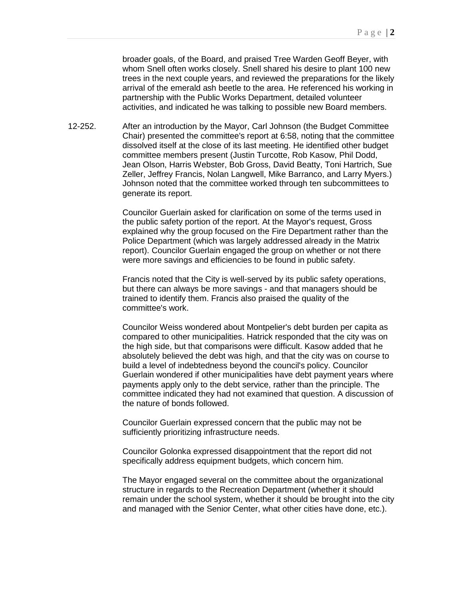broader goals, of the Board, and praised Tree Warden Geoff Beyer, with whom Snell often works closely. Snell shared his desire to plant 100 new trees in the next couple years, and reviewed the preparations for the likely arrival of the emerald ash beetle to the area. He referenced his working in partnership with the Public Works Department, detailed volunteer activities, and indicated he was talking to possible new Board members.

12-252. After an introduction by the Mayor, Carl Johnson (the Budget Committee Chair) presented the committee's report at 6:58, noting that the committee dissolved itself at the close of its last meeting. He identified other budget committee members present (Justin Turcotte, Rob Kasow, Phil Dodd, Jean Olson, Harris Webster, Bob Gross, David Beatty, Toni Hartrich, Sue Zeller, Jeffrey Francis, Nolan Langwell, Mike Barranco, and Larry Myers.) Johnson noted that the committee worked through ten subcommittees to generate its report.

> Councilor Guerlain asked for clarification on some of the terms used in the public safety portion of the report. At the Mayor's request, Gross explained why the group focused on the Fire Department rather than the Police Department (which was largely addressed already in the Matrix report). Councilor Guerlain engaged the group on whether or not there were more savings and efficiencies to be found in public safety.

> Francis noted that the City is well-served by its public safety operations, but there can always be more savings - and that managers should be trained to identify them. Francis also praised the quality of the committee's work.

Councilor Weiss wondered about Montpelier's debt burden per capita as compared to other municipalities. Hatrick responded that the city was on the high side, but that comparisons were difficult. Kasow added that he absolutely believed the debt was high, and that the city was on course to build a level of indebtedness beyond the council's policy. Councilor Guerlain wondered if other municipalities have debt payment years where payments apply only to the debt service, rather than the principle. The committee indicated they had not examined that question. A discussion of the nature of bonds followed.

Councilor Guerlain expressed concern that the public may not be sufficiently prioritizing infrastructure needs.

Councilor Golonka expressed disappointment that the report did not specifically address equipment budgets, which concern him.

The Mayor engaged several on the committee about the organizational structure in regards to the Recreation Department (whether it should remain under the school system, whether it should be brought into the city and managed with the Senior Center, what other cities have done, etc.).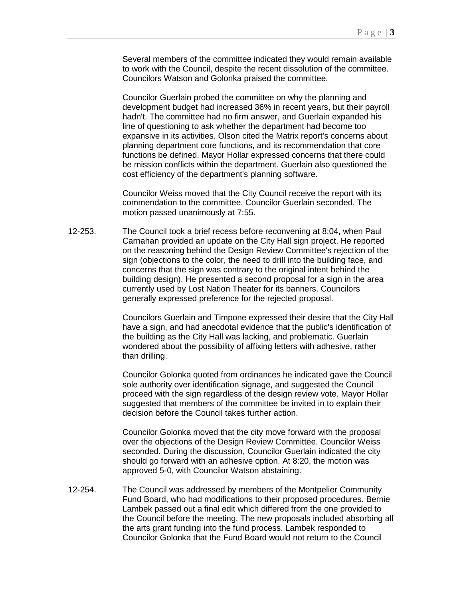Several members of the committee indicated they would remain available to work with the Council, despite the recent dissolution of the committee. Councilors Watson and Golonka praised the committee.

Councilor Guerlain probed the committee on why the planning and development budget had increased 36% in recent years, but their payroll hadn't. The committee had no firm answer, and Guerlain expanded his line of questioning to ask whether the department had become too expansive in its activities. Olson cited the Matrix report's concerns about planning department core functions, and its recommendation that core functions be defined. Mayor Hollar expressed concerns that there could be mission conflicts within the department. Guerlain also questioned the cost efficiency of the department's planning software.

Councilor Weiss moved that the City Council receive the report with its commendation to the committee. Councilor Guerlain seconded. The motion passed unanimously at 7:55.

12-253. The Council took a brief recess before reconvening at 8:04, when Paul Carnahan provided an update on the City Hall sign project. He reported on the reasoning behind the Design Review Committee's rejection of the sign (objections to the color, the need to drill into the building face, and concerns that the sign was contrary to the original intent behind the building design). He presented a second proposal for a sign in the area currently used by Lost Nation Theater for its banners. Councilors generally expressed preference for the rejected proposal.

> Councilors Guerlain and Timpone expressed their desire that the City Hall have a sign, and had anecdotal evidence that the public's identification of the building as the City Hall was lacking, and problematic. Guerlain wondered about the possibility of affixing letters with adhesive, rather than drilling.

> Councilor Golonka quoted from ordinances he indicated gave the Council sole authority over identification signage, and suggested the Council proceed with the sign regardless of the design review vote. Mayor Hollar suggested that members of the committee be invited in to explain their decision before the Council takes further action.

Councilor Golonka moved that the city move forward with the proposal over the objections of the Design Review Committee. Councilor Weiss seconded. During the discussion, Councilor Guerlain indicated the city should go forward with an adhesive option. At 8:20, the motion was approved 5-0, with Councilor Watson abstaining.

12-254. The Council was addressed by members of the Montpelier Community Fund Board, who had modifications to their proposed procedures. Bernie Lambek passed out a final edit which differed from the one provided to the Council before the meeting. The new proposals included absorbing all the arts grant funding into the fund process. Lambek responded to Councilor Golonka that the Fund Board would not return to the Council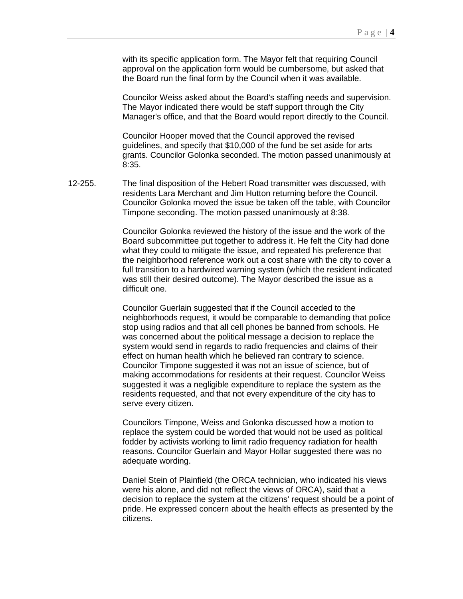with its specific application form. The Mayor felt that requiring Council approval on the application form would be cumbersome, but asked that the Board run the final form by the Council when it was available.

Councilor Weiss asked about the Board's staffing needs and supervision. The Mayor indicated there would be staff support through the City Manager's office, and that the Board would report directly to the Council.

Councilor Hooper moved that the Council approved the revised guidelines, and specify that \$10,000 of the fund be set aside for arts grants. Councilor Golonka seconded. The motion passed unanimously at 8:35.

12-255. The final disposition of the Hebert Road transmitter was discussed, with residents Lara Merchant and Jim Hutton returning before the Council. Councilor Golonka moved the issue be taken off the table, with Councilor Timpone seconding. The motion passed unanimously at 8:38.

> Councilor Golonka reviewed the history of the issue and the work of the Board subcommittee put together to address it. He felt the City had done what they could to mitigate the issue, and repeated his preference that the neighborhood reference work out a cost share with the city to cover a full transition to a hardwired warning system (which the resident indicated was still their desired outcome). The Mayor described the issue as a difficult one.

> Councilor Guerlain suggested that if the Council acceded to the neighborhoods request, it would be comparable to demanding that police stop using radios and that all cell phones be banned from schools. He was concerned about the political message a decision to replace the system would send in regards to radio frequencies and claims of their effect on human health which he believed ran contrary to science. Councilor Timpone suggested it was not an issue of science, but of making accommodations for residents at their request. Councilor Weiss suggested it was a negligible expenditure to replace the system as the residents requested, and that not every expenditure of the city has to serve every citizen.

Councilors Timpone, Weiss and Golonka discussed how a motion to replace the system could be worded that would not be used as political fodder by activists working to limit radio frequency radiation for health reasons. Councilor Guerlain and Mayor Hollar suggested there was no adequate wording.

Daniel Stein of Plainfield (the ORCA technician, who indicated his views were his alone, and did not reflect the views of ORCA), said that a decision to replace the system at the citizens' request should be a point of pride. He expressed concern about the health effects as presented by the citizens.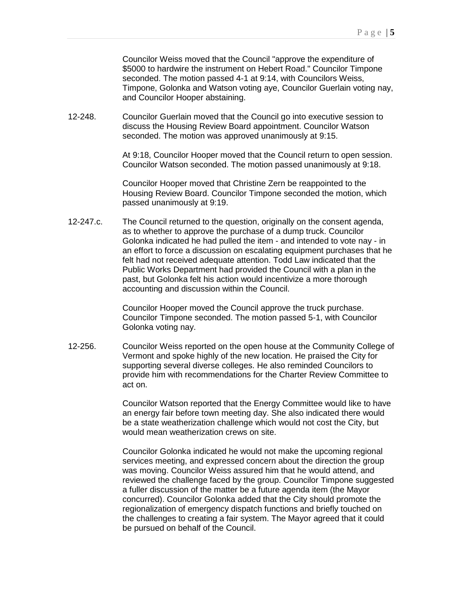Councilor Weiss moved that the Council "approve the expenditure of \$5000 to hardwire the instrument on Hebert Road." Councilor Timpone seconded. The motion passed 4-1 at 9:14, with Councilors Weiss, Timpone, Golonka and Watson voting aye, Councilor Guerlain voting nay, and Councilor Hooper abstaining.

12-248. Councilor Guerlain moved that the Council go into executive session to discuss the Housing Review Board appointment. Councilor Watson seconded. The motion was approved unanimously at 9:15.

> At 9:18, Councilor Hooper moved that the Council return to open session. Councilor Watson seconded. The motion passed unanimously at 9:18.

Councilor Hooper moved that Christine Zern be reappointed to the Housing Review Board. Councilor Timpone seconded the motion, which passed unanimously at 9:19.

12-247.c. The Council returned to the question, originally on the consent agenda, as to whether to approve the purchase of a dump truck. Councilor Golonka indicated he had pulled the item - and intended to vote nay - in an effort to force a discussion on escalating equipment purchases that he felt had not received adequate attention. Todd Law indicated that the Public Works Department had provided the Council with a plan in the past, but Golonka felt his action would incentivize a more thorough accounting and discussion within the Council.

> Councilor Hooper moved the Council approve the truck purchase. Councilor Timpone seconded. The motion passed 5-1, with Councilor Golonka voting nay.

12-256. Councilor Weiss reported on the open house at the Community College of Vermont and spoke highly of the new location. He praised the City for supporting several diverse colleges. He also reminded Councilors to provide him with recommendations for the Charter Review Committee to act on.

> Councilor Watson reported that the Energy Committee would like to have an energy fair before town meeting day. She also indicated there would be a state weatherization challenge which would not cost the City, but would mean weatherization crews on site.

Councilor Golonka indicated he would not make the upcoming regional services meeting, and expressed concern about the direction the group was moving. Councilor Weiss assured him that he would attend, and reviewed the challenge faced by the group. Councilor Timpone suggested a fuller discussion of the matter be a future agenda item (the Mayor concurred). Councilor Golonka added that the City should promote the regionalization of emergency dispatch functions and briefly touched on the challenges to creating a fair system. The Mayor agreed that it could be pursued on behalf of the Council.